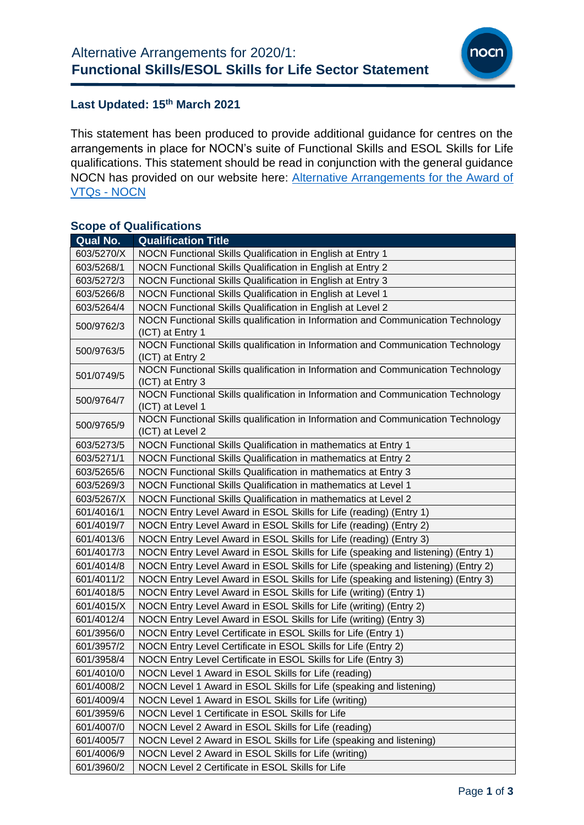

#### **Last Updated: 15 th March 2021**

This statement has been produced to provide additional guidance for centres on the arrangements in place for NOCN's suite of Functional Skills and ESOL Skills for Life qualifications. This statement should be read in conjunction with the general guidance NOCN has provided on our website here: [Alternative Arrangements for the Award of](https://www.nocn.org.uk/centres/alternative-arrangements-for-the-award-of-vtqs-and-other-general-qualifications/)  [VTQs -](https://www.nocn.org.uk/centres/alternative-arrangements-for-the-award-of-vtqs-and-other-general-qualifications/) NOCN

### **Scope of Qualifications**

| Qual No.   | <b>Qualification Title</b>                                                                           |
|------------|------------------------------------------------------------------------------------------------------|
| 603/5270/X | NOCN Functional Skills Qualification in English at Entry 1                                           |
| 603/5268/1 | NOCN Functional Skills Qualification in English at Entry 2                                           |
| 603/5272/3 | NOCN Functional Skills Qualification in English at Entry 3                                           |
| 603/5266/8 | NOCN Functional Skills Qualification in English at Level 1                                           |
| 603/5264/4 | NOCN Functional Skills Qualification in English at Level 2                                           |
| 500/9762/3 | NOCN Functional Skills qualification in Information and Communication Technology<br>(ICT) at Entry 1 |
| 500/9763/5 | NOCN Functional Skills qualification in Information and Communication Technology<br>(ICT) at Entry 2 |
| 501/0749/5 | NOCN Functional Skills qualification in Information and Communication Technology<br>(ICT) at Entry 3 |
| 500/9764/7 | NOCN Functional Skills qualification in Information and Communication Technology<br>(ICT) at Level 1 |
| 500/9765/9 | NOCN Functional Skills qualification in Information and Communication Technology<br>(ICT) at Level 2 |
| 603/5273/5 | NOCN Functional Skills Qualification in mathematics at Entry 1                                       |
| 603/5271/1 | NOCN Functional Skills Qualification in mathematics at Entry 2                                       |
| 603/5265/6 | NOCN Functional Skills Qualification in mathematics at Entry 3                                       |
| 603/5269/3 | NOCN Functional Skills Qualification in mathematics at Level 1                                       |
| 603/5267/X | NOCN Functional Skills Qualification in mathematics at Level 2                                       |
| 601/4016/1 | NOCN Entry Level Award in ESOL Skills for Life (reading) (Entry 1)                                   |
| 601/4019/7 | NOCN Entry Level Award in ESOL Skills for Life (reading) (Entry 2)                                   |
| 601/4013/6 | NOCN Entry Level Award in ESOL Skills for Life (reading) (Entry 3)                                   |
| 601/4017/3 | NOCN Entry Level Award in ESOL Skills for Life (speaking and listening) (Entry 1)                    |
| 601/4014/8 | NOCN Entry Level Award in ESOL Skills for Life (speaking and listening) (Entry 2)                    |
| 601/4011/2 | NOCN Entry Level Award in ESOL Skills for Life (speaking and listening) (Entry 3)                    |
| 601/4018/5 | NOCN Entry Level Award in ESOL Skills for Life (writing) (Entry 1)                                   |
| 601/4015/X | NOCN Entry Level Award in ESOL Skills for Life (writing) (Entry 2)                                   |
| 601/4012/4 | NOCN Entry Level Award in ESOL Skills for Life (writing) (Entry 3)                                   |
| 601/3956/0 | NOCN Entry Level Certificate in ESOL Skills for Life (Entry 1)                                       |
| 601/3957/2 | NOCN Entry Level Certificate in ESOL Skills for Life (Entry 2)                                       |
| 601/3958/4 | NOCN Entry Level Certificate in ESOL Skills for Life (Entry 3)                                       |
| 601/4010/0 | NOCN Level 1 Award in ESOL Skills for Life (reading)                                                 |
| 601/4008/2 | NOCN Level 1 Award in ESOL Skills for Life (speaking and listening)                                  |
| 601/4009/4 | NOCN Level 1 Award in ESOL Skills for Life (writing)                                                 |
| 601/3959/6 | NOCN Level 1 Certificate in ESOL Skills for Life                                                     |
| 601/4007/0 | NOCN Level 2 Award in ESOL Skills for Life (reading)                                                 |
| 601/4005/7 | NOCN Level 2 Award in ESOL Skills for Life (speaking and listening)                                  |
| 601/4006/9 | NOCN Level 2 Award in ESOL Skills for Life (writing)                                                 |
| 601/3960/2 | NOCN Level 2 Certificate in ESOL Skills for Life                                                     |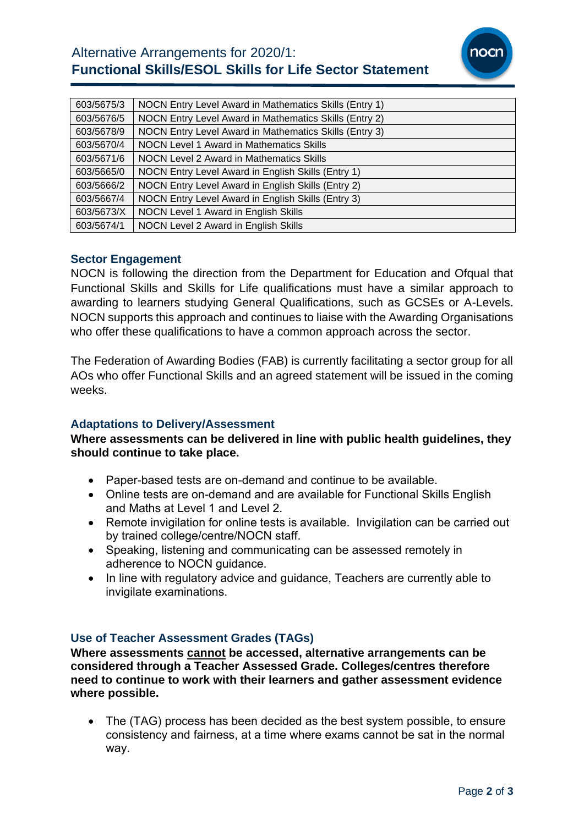# Alternative Arrangements for 2020/1: **Functional Skills/ESOL Skills for Life Sector Statement**



| 603/5675/3 | NOCN Entry Level Award in Mathematics Skills (Entry 1) |
|------------|--------------------------------------------------------|
| 603/5676/5 | NOCN Entry Level Award in Mathematics Skills (Entry 2) |
| 603/5678/9 | NOCN Entry Level Award in Mathematics Skills (Entry 3) |
| 603/5670/4 | NOCN Level 1 Award in Mathematics Skills               |
| 603/5671/6 | NOCN Level 2 Award in Mathematics Skills               |
| 603/5665/0 | NOCN Entry Level Award in English Skills (Entry 1)     |
| 603/5666/2 | NOCN Entry Level Award in English Skills (Entry 2)     |
| 603/5667/4 | NOCN Entry Level Award in English Skills (Entry 3)     |
| 603/5673/X | NOCN Level 1 Award in English Skills                   |
| 603/5674/1 | NOCN Level 2 Award in English Skills                   |

### **Sector Engagement**

NOCN is following the direction from the Department for Education and Ofqual that Functional Skills and Skills for Life qualifications must have a similar approach to awarding to learners studying General Qualifications, such as GCSEs or A-Levels. NOCN supports this approach and continues to liaise with the Awarding Organisations who offer these qualifications to have a common approach across the sector.

The Federation of Awarding Bodies (FAB) is currently facilitating a sector group for all AOs who offer Functional Skills and an agreed statement will be issued in the coming weeks.

### **Adaptations to Delivery/Assessment**

### **Where assessments can be delivered in line with public health guidelines, they should continue to take place.**

- Paper-based tests are on-demand and continue to be available.
- Online tests are on-demand and are available for Functional Skills English and Maths at Level 1 and Level 2.
- Remote invigilation for online tests is available. Invigilation can be carried out by trained college/centre/NOCN staff.
- Speaking, listening and communicating can be assessed remotely in adherence to NOCN guidance.
- In line with regulatory advice and guidance, Teachers are currently able to invigilate examinations.

### **Use of Teacher Assessment Grades (TAGs)**

**Where assessments cannot be accessed, alternative arrangements can be considered through a Teacher Assessed Grade. Colleges/centres therefore need to continue to work with their learners and gather assessment evidence where possible.**

• The (TAG) process has been decided as the best system possible, to ensure consistency and fairness, at a time where exams cannot be sat in the normal way.